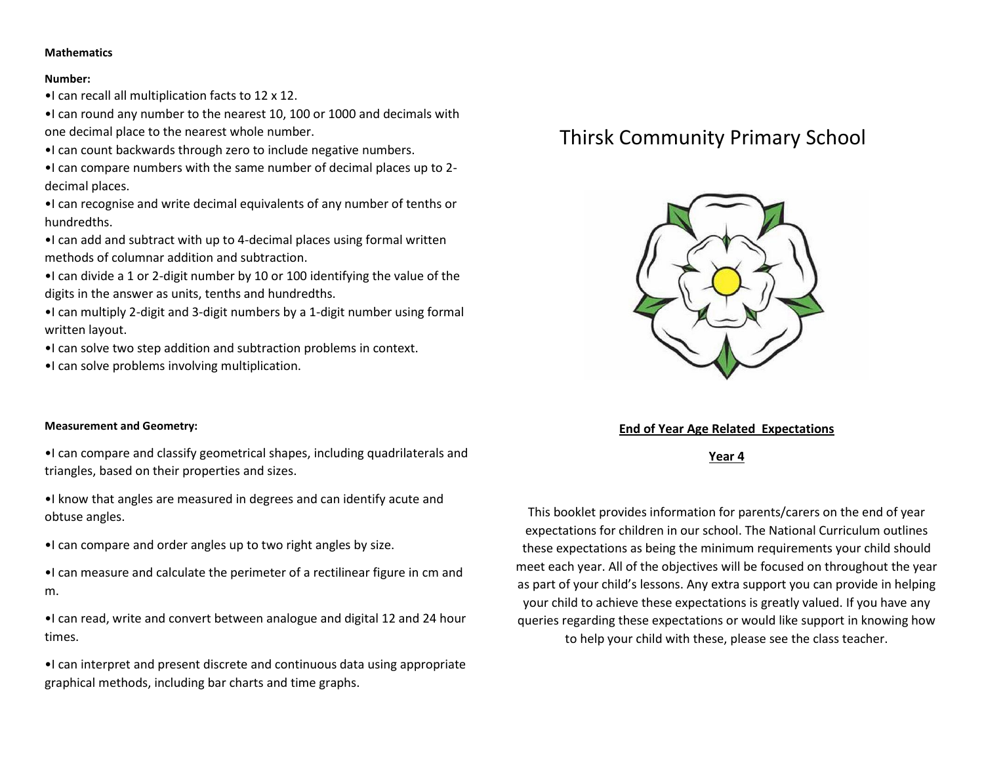## **Mathematics**

#### **Number:**

•I can recall all multiplication facts to 12 x 12.

•I can round any number to the nearest 10, 100 or 1000 and decimals with one decimal place to the nearest whole number.

•I can count backwards through zero to include negative numbers.

•I can compare numbers with the same number of decimal places up to 2 decimal places.

•I can recognise and write decimal equivalents of any number of tenths or hundredths.

•I can add and subtract with up to 4-decimal places using formal written methods of columnar addition and subtraction.

•I can divide a 1 or 2-digit number by 10 or 100 identifying the value of the digits in the answer as units, tenths and hundredths.

•I can multiply 2-digit and 3-digit numbers by a 1-digit number using formal written layout.

•I can solve two step addition and subtraction problems in context.

•I can solve problems involving multiplication.

## **Measurement and Geometry:**

•I can compare and classify geometrical shapes, including quadrilaterals and triangles, based on their properties and sizes.

•I know that angles are measured in degrees and can identify acute and obtuse angles.

•I can compare and order angles up to two right angles by size.

•I can measure and calculate the perimeter of a rectilinear figure in cm and m.

•I can read, write and convert between analogue and digital 12 and 24 hour times.

•I can interpret and present discrete and continuous data using appropriate graphical methods, including bar charts and time graphs.

# Thirsk Community Primary School



# **End of Year Age Related Expectations**

**Year 4**

This booklet provides information for parents/carers on the end of year expectations for children in our school. The National Curriculum outlines these expectations as being the minimum requirements your child should meet each year. All of the objectives will be focused on throughout the year as part of your child's lessons. Any extra support you can provide in helping your child to achieve these expectations is greatly valued. If you have any queries regarding these expectations or would like support in knowing how to help your child with these, please see the class teacher.